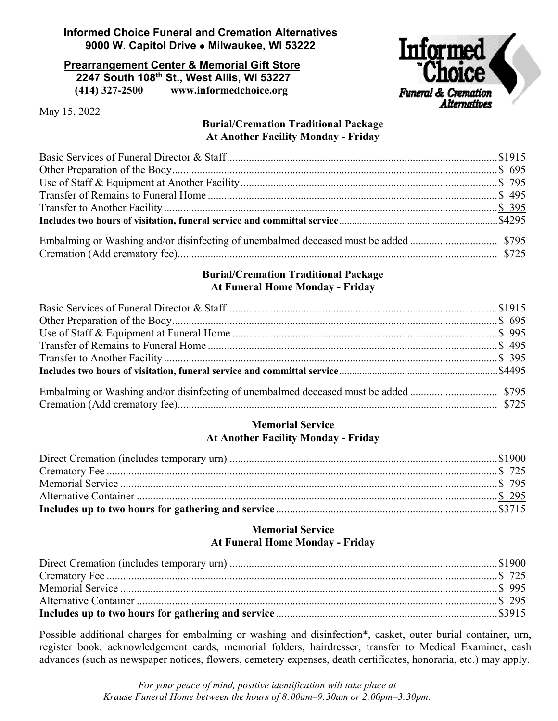### **Informed Choice Funeral and Cremation Alternatives 9000 W. Capitol Drive Milwaukee, WI 53222**

# **Prearrangement Center & Memorial Gift Store**

 **2247 South 108th St., West Allis, WI 53227 (414) 327-2500 www.informedchoice.org**



May 15, 2022

### **Burial/Cremation Traditional Package At Another Facility Monday - Friday**

# **Burial/Cremation Traditional Package At Funeral Home Monday - Friday**

# **Memorial Service At Another Facility Monday - Friday**

#### **Memorial Service At Funeral Home Monday - Friday**

Possible additional charges for embalming or washing and disinfection\*, casket, outer burial container, urn, register book, acknowledgement cards, memorial folders, hairdresser, transfer to Medical Examiner, cash advances (such as newspaper notices, flowers, cemetery expenses, death certificates, honoraria, etc.) may apply.